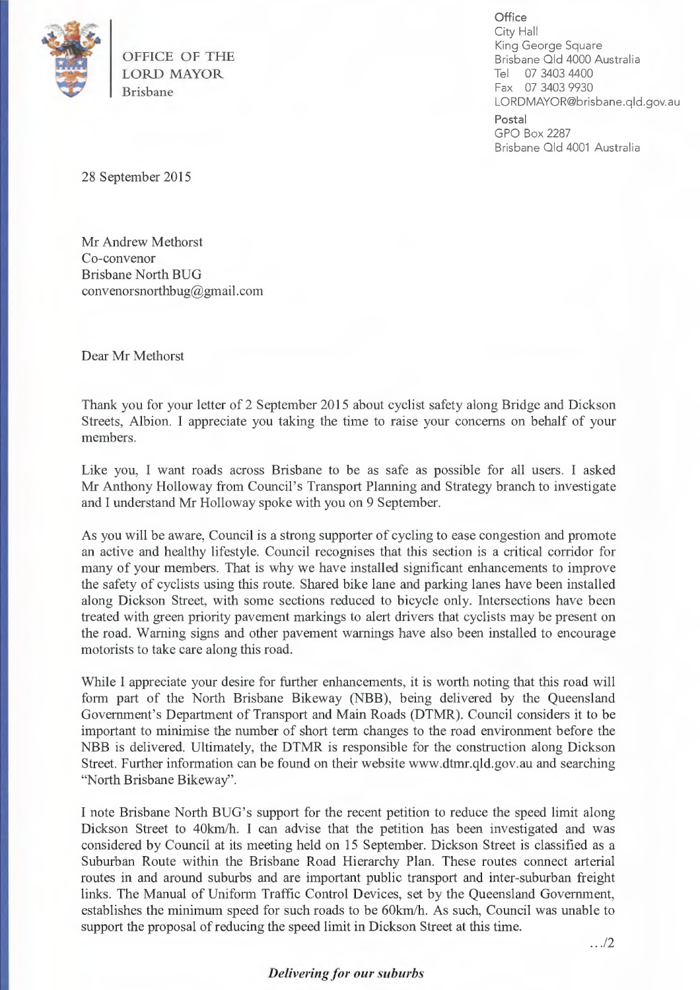

OFFICE OF THE LORD MAYOR Brisbane

**Office**  City Hall King George Square Brisbane Old 4000 Australia Tel 07 3403 4400 Fax 07 3403 9930 LORDMAYOR@brisbane.q1d.gov.au

**Postal**  GPO Box 2287 Brisbane Old 4001 Australia

28 September 2015

Mr Andrew Methorst Co-convenor Brisbane North BUG convenorsnorthbug@gmail.corn

Dear Mr Methorst

Thank you for your letter of 2 September 2015 about cyclist safety along Bridge and Dickson Streets, Albion. I appreciate you taking the time to raise your concerns on behalf of your members.

Like you, I want roads across Brisbane to be as safe as possible for all users. I asked Mr Anthony Holloway from Council's Transport Planning and Strategy branch to investigate and I understand Mr Holloway spoke with you on 9 September.

As you will be aware, Council is a strong supporter of cycling to ease congestion and promote an active and healthy lifestyle. Council recognises that this section is a critical corridor for many of your members. That is why we have installed significant enhancements to improve the safety of cyclists using this route. Shared bike lane and parking lanes have been installed along Dickson Street, with some sections reduced to bicycle only. Intersections have been treated with green priority pavement markings to alert drivers that cyclists may be present on the road. Warning signs and other pavement warnings have also been installed to encourage motorists to take care along this road.

While I appreciate your desire for further enhancements, it is worth noting that this road will form part of the North Brisbane Bikeway (NBB), being delivered by the Queensland Government's Department of Transport and Main Roads (DTMR). Council considers it to be important to minimise the number of short term changes to the road environment before the NBB is delivered. Ultimately, the DTMR is responsible for the construction along Dickson Street. Further information can be found on their website www.dtmr.qld.gov.au and searching "North Brisbane Bikeway".

I note Brisbane North BUG's support for the recent petition to reduce the speed limit along Dickson Street to 40km/h. I can advise that the petition has been investigated and was considered by Council at its meeting held on 15 September. Dickson Street is classified as a Suburban Route within the Brisbane Road Hierarchy Plan. These routes connect arterial routes in and around suburbs and are important public transport and inter-suburban freight links. The Manual of Uniform Traffic Control Devices, set by the Queensland Government, establishes the minimum speed for such roads to be 60km/h. As such, Council was unable to support the proposal of reducing the speed limit in Dickson Street at this time.